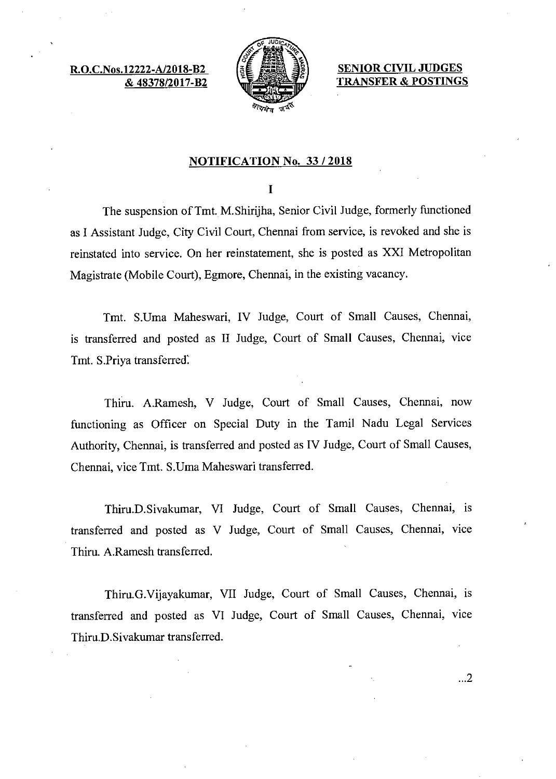R.O.C.Nos.12222-A & 48378/2017-B2



SENIOR CIVIL JUDGES TRANSFER & POSTINGS

 $\ldots$ 2

# NOTIFICATION No. 33/2018

## $\mathbf I$

The suspension of Tmt. M.Shirijha, Senior Civil Judge, formerly functioned as I Assistant Judge, City Civil Court, Chennai from service, is revoked and she is reinstated into service. On her reinstatement, she is posted as XXI Metropolitan Magistrate (Mobile Court), Egmore, Chennai, in the existing vacancy.

Tmt. S.Uma Maheswari, IV Judge, Court of Small Causes, Chennai, is transferred and posted as II Judge, Court of Small Causes, Chennai, vice Tmt. S.Priya transferred:

Thiru. A.Ramesh, V Judge, Court of Small Causes, Chennai, now functioning as Officer on Special Duty in the Tamil Nadu Legal Services Authority, Chennai, is transferred and posted as IV Judge, Court of Small Causes, Chennai, vice Tmt. S.Uma Maheswari transferred.

Thiru.D.Sivakumar, VI Judge, Court of Small Causes, Chennai, is transferred and posted as V Judge, Court of Small Causes, Chennai, vice Thiru. A.Ramesh transferred.

Thiru.G.Vijayakumar, VII Judge, Court of Small Causes, Chennai, is transferred and posted as VI Judge, Court of Small Causes, Chennai, vice Thiru.D.Sivakumar transferred.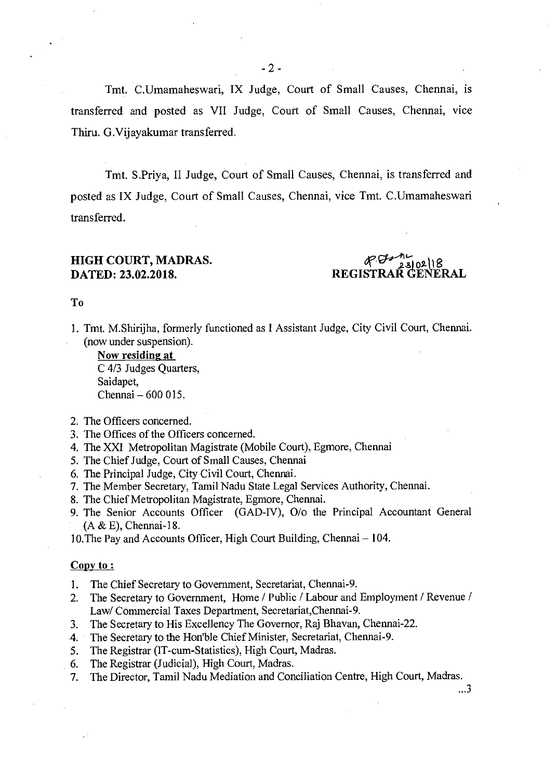Tmt. C.Umamaheswari, IX Judge, Court of Small Causes, Chennai, is transferred and posted as VII Judge, Court of Small Causes, Chennai, vice Thiru. G. Vijayakumar transferred.

Tmt. S.Priya, II Judge, Court of Small Causes, Chennai, is transferred and posted as IX Judge, Court of Small Causes, Chennai, vice Tmt. C.Umamaheswari transferred.

# **HIGH COURT, MADRAS.** ost 8

**DATED: 23.02.2018. REGISTRAR GENERAL** 

#### To

1. Tmt. M.Shirijha, formerly functioned as I Assistant Judge, City Civil Court, Chennai. (now under suspension).

Now residing at C 4/3 Judges Quarters, Saidapet, Chennai — 600 015.

- 2. The Officers concerned.
- 3. The Offices of the Officers concerned.
- 4. The XXI Metropolitan Magistrate (Mobile Court), Egmore, Chennai
- 5. The Chief Judge, Court of Small Causes, Chennai
- 6. The Principal Judge, City Civil Court, Chennai.
- 7. The Member Secretary, Tamil Nadu State Legal Services Authority, Chennai.
- 8. The Chief Metropolitan Magistrate, Egmore, Chennai.
- 9. The Senior Accounts Officer (GAD-IV), 0/o the Principal Accountant General (A & E), Chennai-18.

10.The Pay and Accounts Officer, High Court Building, Chennai — 104.

## **Copy to:**

- 1. The Chief Secretary to Government, Secretariat, Chennai-9.
- 2. The Secretary to Government, Home / Public / Labour and Employment / Revenue / Law/ Commercial Taxes Department, Secretariat,Chennai-9.
- 3. The Secretary to His Excellency The Governor, Raj Bhavan, Chennai-22.
- 4. The Secretary to the Hon'ble Chief Minister, Secretariat, Chennai-9.
- 5. The Registrar (IT-cum-Statistics), High Court, Madras.
- 6. The Registrar (Judicial), High Court, Madras.
- 7. The Director, Tamil Nadu Mediation and Conciliation Centre, High Court, Madras.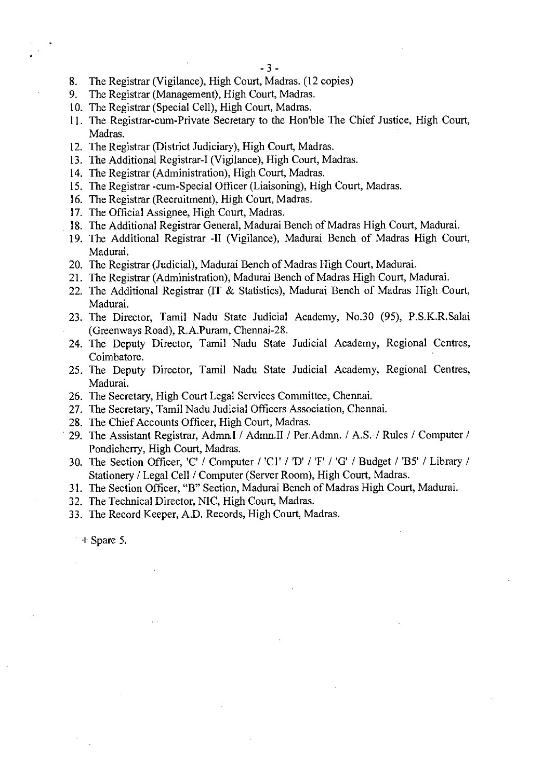- 8. The Registrar (Vigilance), High Court, Madras. (12 copies)
- 9. The Registrar (Management), High Court, Madras.
- 10. The Registrar (Special Cell), High Court, Madras.
- 11. The Registrar-cum-Private Secretary to the Hon'ble The Chief Justice, High Court, Madras.
- 12. The Registrar (District Judiciary), High Court, Madras.
- 13. The Additional Registrar-I (Vigilance), High Court, Madras.
- 14. The Registrar (Administration), High Court, Madras.
- 15. The Registrar -cum-Special Officer (Liaisoning), High Court, Madras.
- 16. The Registrar (Recruitment), High Court, Madras.
- 17. The Official Assignee, High Court, Madras.
- 18. The Additional Registrar General, Madurai Bench of Madras High Court, Madurai.
- 19. The Additional Registrar -II (Vigilance), Madurai Bench of Madras High Court, Madurai.
- 20. The Registrar (Judicial), Madurai Bench of Madras High Court, Madurai.
- 21. The Registrar (Administration), Madurai Bench of Madras High Court, Madurai.
- 22. The Additional Registrar (IT & Statistics), Madurai Bench of Madras High Court, Madurai.
- 23. The Director, Tamil Nadu State Judicial Academy, No.30 (95), P.S.K.R.Salai (Greenways Road), R.A.Puram, Chennai-28.
- 24. The Deputy Director, Tamil Nadu State Judicial Academy, Regional Centres, Coimbatore.
- 25. The Deputy Director, Tamil Nadu State Judicial Academy, Regional Centres, Madurai.
- 26. The Secretary, High Court Legal Services Committee, Chennai.
- 27. The Secretary, Tamil Nadu Judicial Officers Association, Chennai.
- 28. The Chief Accounts Officer, High Court, Madras.
- 29. The Assistant Registrar, Admn.I / Admn.II / Per.Admn. / A.S.• / Rules / Computer / Pondicherry, High Court, Madras.
- 30. The Section Officer, 'C' / Computer / 'Cl'/ 'D' / 'F' / 'G' / Budget / 'B5' / Library / Stationery / Legal Cell / Computer (Server Room), High Court, Madras.
- 31. The Section Officer, "B" Section, Madurai Bench of Madras High Court, Madurai.
- 32. The Technical Director, NIC, High Court, Madras.
- 33. The Record Keeper, A.D. Records, High Court, Madras.

+ Spare 5.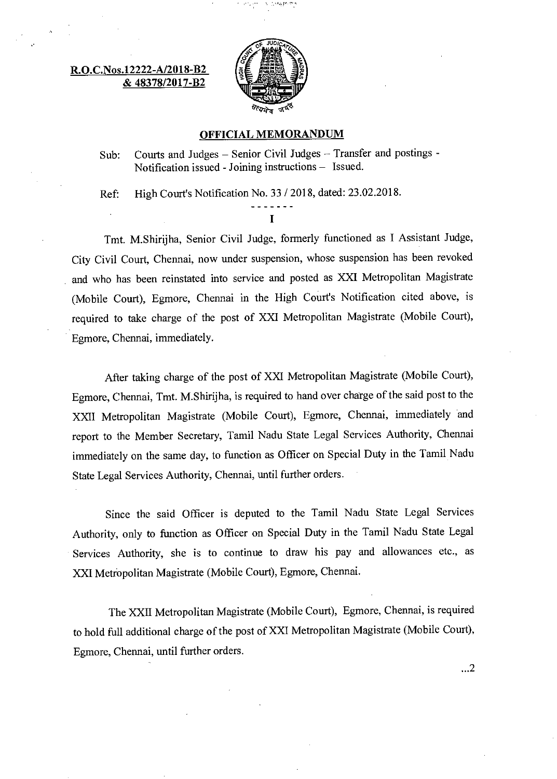## R.O.C.Nos.12222-A/2018-B2 & 48378/2017-B2



#### OFFICIAL MEMORANDUM

Sub: Courts and Judges — Senior Civil Judges — Transfer and postings - Notification issued - Joining instructions — Issued.

Ref: High Court's Notification No. 33 / 2018, dated: 23.02.2018.

 $\mathbf{I}$ 

Tmt. M.Shirijha, Senior Civil Judge, formerly functioned as I Assistant Judge, City Civil Court, Chennai, now under suspension, whose suspension has been revoked and who has been reinstated into service and posted as XXI Metropolitan Magistrate (Mobile Court), Egmore, Chennai in the High Court's Notification cited above, is required to take charge of the post of XXI Metropolitan Magistrate (Mobile Court), Egmore, Chennai, immediately.

After taking charge of the post of XXI Metropolitan Magistrate (Mobile Court), Egmore, Chennai, Tmt. M.Shirijha, is required to hand over charge of the said post to the XXII Metropolitan Magistrate (Mobile Court), Egmore, Chennai, immediately and report to the Member Secretary, Tamil Nadu State Legal Services Authority, Chennai immediately on the same day, to function as Officer on Special Duty in the Tamil Nadu State Legal Services Authority, Chennai, until further orders.

Since the said Officer is deputed to the Tamil Nadu State Legal Services Authority, only to function as Officer on Special Duty in the Tamil Nadu State Legal Services Authority, she is to continue to draw his pay and allowances etc., as XXI Metropolitan Magistrate (Mobile Court), Egmore, Chennai.

The XXII Metropolitan Magistrate (Mobile Court), Egmore, Chennai, is required to hold full additional charge of the post of XXI Metropolitan Magistrate (Mobile Court), Egmore, Chennai, until further orders.

 $\ldots$ <sup>2</sup>